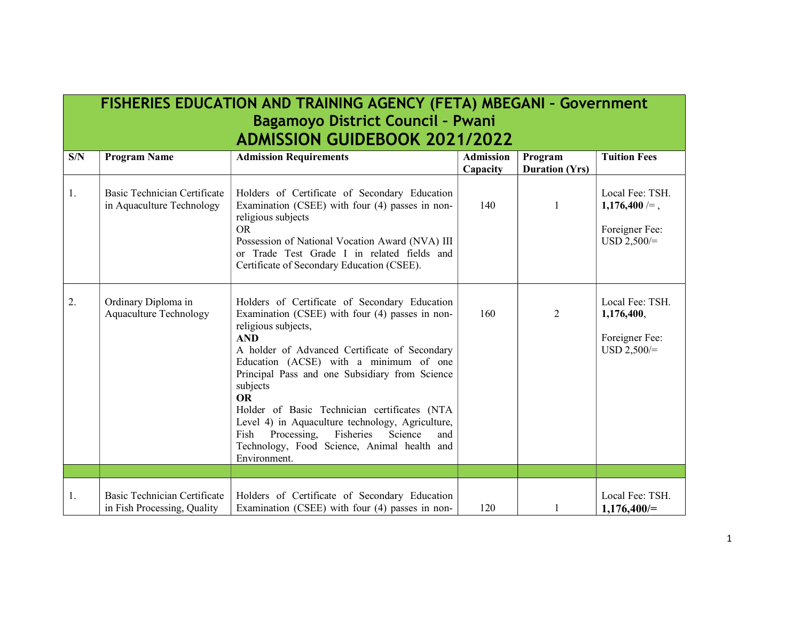## FISHERIES EDUCATION AND TRAINING AGENCY (FETA) MBEGANI – Government Bagamoyo District Council – Pwani ADMISSION GUIDEBOOK 2021/2022

| S/N | <b>Program Name</b>                                         | <b>Admission Requirements</b>                                                                                                                                                                                                                                                                                                                                                                                                                                                                                                        | <b>Admission</b><br>Capacity | Program<br><b>Duration (Yrs)</b> | <b>Tuition Fees</b>                                                   |
|-----|-------------------------------------------------------------|--------------------------------------------------------------------------------------------------------------------------------------------------------------------------------------------------------------------------------------------------------------------------------------------------------------------------------------------------------------------------------------------------------------------------------------------------------------------------------------------------------------------------------------|------------------------------|----------------------------------|-----------------------------------------------------------------------|
| 1.  | Basic Technician Certificate<br>in Aquaculture Technology   | Holders of Certificate of Secondary Education<br>Examination (CSEE) with four (4) passes in non-<br>religious subjects<br>OR.<br>Possession of National Vocation Award (NVA) III<br>or Trade Test Grade I in related fields and<br>Certificate of Secondary Education (CSEE).                                                                                                                                                                                                                                                        | 140                          | 1                                | Local Fee: TSH.<br>$1,176,400 =$ ,<br>Foreigner Fee:<br>$USD 2,500/=$ |
| 2.  | Ordinary Diploma in<br><b>Aquaculture Technology</b>        | Holders of Certificate of Secondary Education<br>Examination (CSEE) with four (4) passes in non-<br>religious subjects,<br><b>AND</b><br>A holder of Advanced Certificate of Secondary<br>Education (ACSE) with a minimum of one<br>Principal Pass and one Subsidiary from Science<br>subjects<br><b>OR</b><br>Holder of Basic Technician certificates (NTA<br>Level 4) in Aquaculture technology, Agriculture,<br>Fisheries<br>Fish<br>Processing,<br>Science<br>and<br>Technology, Food Science, Animal health and<br>Environment. | 160                          | 2                                | Local Fee: TSH.<br>1,176,400,<br>Foreigner Fee:<br>$USD 2,500/=$      |
|     |                                                             |                                                                                                                                                                                                                                                                                                                                                                                                                                                                                                                                      |                              |                                  |                                                                       |
| 1.  | Basic Technician Certificate<br>in Fish Processing, Quality | Holders of Certificate of Secondary Education<br>Examination (CSEE) with four (4) passes in non-                                                                                                                                                                                                                                                                                                                                                                                                                                     | 120                          |                                  | Local Fee: TSH.<br>$1,176,400 =$                                      |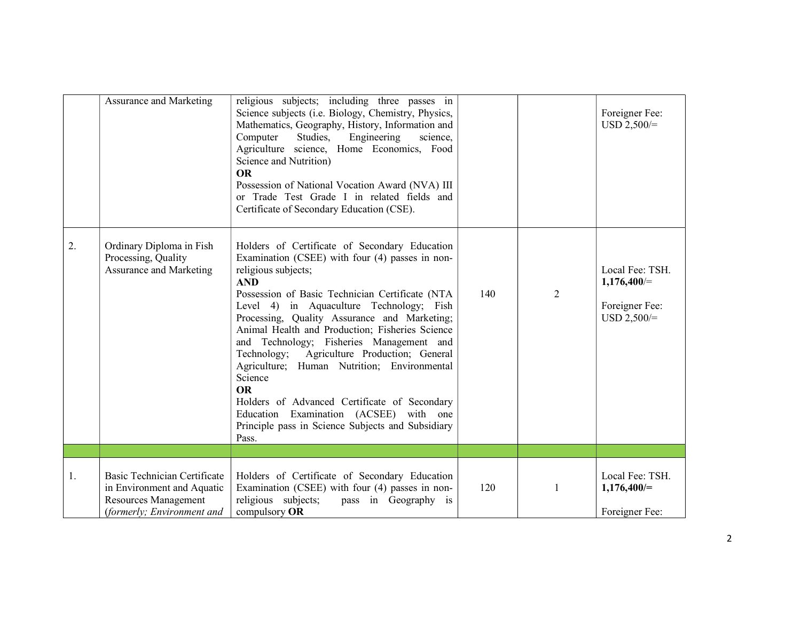|    | Assurance and Marketing                                                                                                 | religious subjects; including three passes in<br>Science subjects (i.e. Biology, Chemistry, Physics,<br>Mathematics, Geography, History, Information and<br>Studies,<br>Engineering<br>Computer<br>science,<br>Agriculture science, Home Economics, Food<br>Science and Nutrition)<br><b>OR</b><br>Possession of National Vocation Award (NVA) III<br>or Trade Test Grade I in related fields and<br>Certificate of Secondary Education (CSE).                                                                                                                                                                                                                    |     |                | Foreigner Fee:<br>$USD 2,500/=$                                     |
|----|-------------------------------------------------------------------------------------------------------------------------|-------------------------------------------------------------------------------------------------------------------------------------------------------------------------------------------------------------------------------------------------------------------------------------------------------------------------------------------------------------------------------------------------------------------------------------------------------------------------------------------------------------------------------------------------------------------------------------------------------------------------------------------------------------------|-----|----------------|---------------------------------------------------------------------|
| 2. | Ordinary Diploma in Fish<br>Processing, Quality<br>Assurance and Marketing                                              | Holders of Certificate of Secondary Education<br>Examination (CSEE) with four (4) passes in non-<br>religious subjects;<br><b>AND</b><br>Possession of Basic Technician Certificate (NTA<br>Level 4) in Aquaculture Technology; Fish<br>Processing, Quality Assurance and Marketing;<br>Animal Health and Production; Fisheries Science<br>and Technology; Fisheries Management and<br>Technology; Agriculture Production; General<br>Agriculture; Human Nutrition; Environmental<br>Science<br><b>OR</b><br>Holders of Advanced Certificate of Secondary<br>Education Examination (ACSEE) with one<br>Principle pass in Science Subjects and Subsidiary<br>Pass. | 140 | $\overline{2}$ | Local Fee: TSH.<br>$1,176,400 =$<br>Foreigner Fee:<br>$USD 2,500/=$ |
|    |                                                                                                                         |                                                                                                                                                                                                                                                                                                                                                                                                                                                                                                                                                                                                                                                                   |     |                |                                                                     |
| 1. | Basic Technician Certificate<br>in Environment and Aquatic<br><b>Resources Management</b><br>(formerly; Environment and | Holders of Certificate of Secondary Education<br>Examination (CSEE) with four (4) passes in non-<br>religious subjects;<br>pass in Geography is<br>compulsory OR                                                                                                                                                                                                                                                                                                                                                                                                                                                                                                  | 120 | 1              | Local Fee: TSH.<br>$1,176,400 =$<br>Foreigner Fee:                  |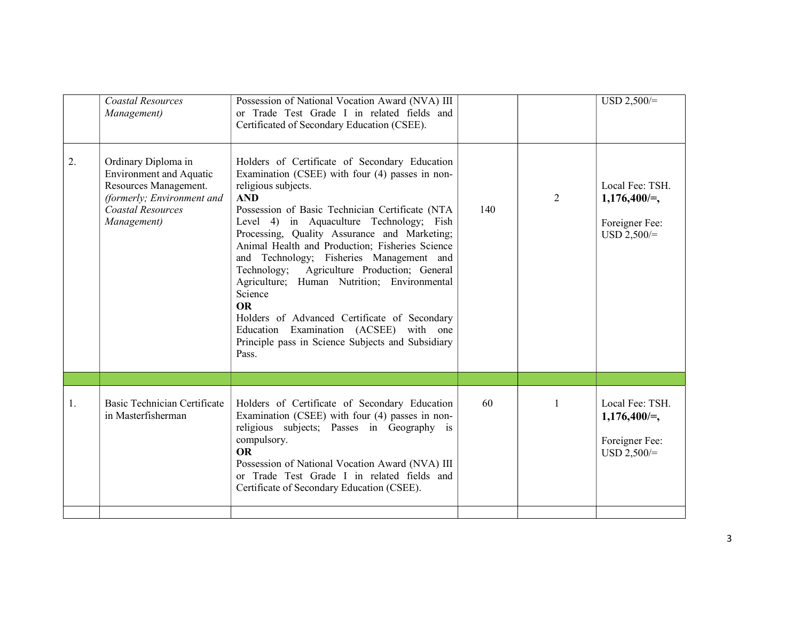|    | <b>Coastal Resources</b><br>Management)                                                                                                                 | Possession of National Vocation Award (NVA) III<br>or Trade Test Grade I in related fields and<br>Certificated of Secondary Education (CSEE).                                                                                                                                                                                                                                                                                                                                                                                                                                                                                                                     |     |                | $USD 2,500/=$                                                         |
|----|---------------------------------------------------------------------------------------------------------------------------------------------------------|-------------------------------------------------------------------------------------------------------------------------------------------------------------------------------------------------------------------------------------------------------------------------------------------------------------------------------------------------------------------------------------------------------------------------------------------------------------------------------------------------------------------------------------------------------------------------------------------------------------------------------------------------------------------|-----|----------------|-----------------------------------------------------------------------|
| 2. | Ordinary Diploma in<br><b>Environment</b> and Aquatic<br>Resources Management.<br>(formerly; Environment and<br><b>Coastal Resources</b><br>Management) | Holders of Certificate of Secondary Education<br>Examination (CSEE) with four (4) passes in non-<br>religious subjects.<br><b>AND</b><br>Possession of Basic Technician Certificate (NTA<br>Level 4) in Aquaculture Technology; Fish<br>Processing, Quality Assurance and Marketing;<br>Animal Health and Production; Fisheries Science<br>and Technology; Fisheries Management and<br>Technology; Agriculture Production; General<br>Agriculture; Human Nutrition; Environmental<br>Science<br><b>OR</b><br>Holders of Advanced Certificate of Secondary<br>Education Examination (ACSEE) with one<br>Principle pass in Science Subjects and Subsidiary<br>Pass. | 140 | $\overline{2}$ | Local Fee: TSH.<br>$1,176,400/=$ ,<br>Foreigner Fee:<br>$USD 2,500/=$ |
|    |                                                                                                                                                         |                                                                                                                                                                                                                                                                                                                                                                                                                                                                                                                                                                                                                                                                   |     |                |                                                                       |
| 1. | Basic Technician Certificate<br>in Masterfisherman                                                                                                      | Holders of Certificate of Secondary Education<br>Examination (CSEE) with four (4) passes in non-<br>religious subjects; Passes in Geography is<br>compulsory.<br><b>OR</b><br>Possession of National Vocation Award (NVA) III<br>or Trade Test Grade I in related fields and<br>Certificate of Secondary Education (CSEE).                                                                                                                                                                                                                                                                                                                                        | 60  | 1              | Local Fee: TSH.<br>$1,176,400 =$ ,<br>Foreigner Fee:<br>$USD 2,500/=$ |
|    |                                                                                                                                                         |                                                                                                                                                                                                                                                                                                                                                                                                                                                                                                                                                                                                                                                                   |     |                |                                                                       |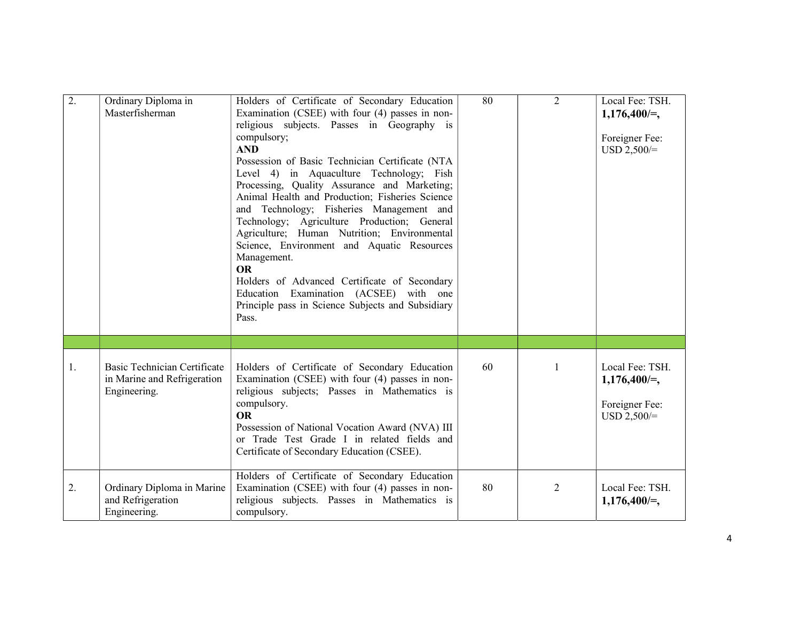| 2. | Ordinary Diploma in<br>Masterfisherman                                      | Holders of Certificate of Secondary Education<br>Examination (CSEE) with four (4) passes in non-<br>religious subjects. Passes in Geography is<br>compulsory;<br><b>AND</b><br>Possession of Basic Technician Certificate (NTA<br>Level 4) in Aquaculture Technology; Fish<br>Processing, Quality Assurance and Marketing;<br>Animal Health and Production; Fisheries Science<br>and Technology; Fisheries Management and<br>Technology; Agriculture Production; General<br>Agriculture; Human Nutrition; Environmental<br>Science, Environment and Aquatic Resources<br>Management.<br><b>OR</b><br>Holders of Advanced Certificate of Secondary<br>Education Examination (ACSEE) with one<br>Principle pass in Science Subjects and Subsidiary<br>Pass. | 80 | 2 | Local Fee: TSH.<br>$1,176,400 =$ ,<br>Foreigner Fee:<br>$USD 2,500/=$ |
|----|-----------------------------------------------------------------------------|-----------------------------------------------------------------------------------------------------------------------------------------------------------------------------------------------------------------------------------------------------------------------------------------------------------------------------------------------------------------------------------------------------------------------------------------------------------------------------------------------------------------------------------------------------------------------------------------------------------------------------------------------------------------------------------------------------------------------------------------------------------|----|---|-----------------------------------------------------------------------|
|    |                                                                             |                                                                                                                                                                                                                                                                                                                                                                                                                                                                                                                                                                                                                                                                                                                                                           |    |   |                                                                       |
| 1. | Basic Technician Certificate<br>in Marine and Refrigeration<br>Engineering. | Holders of Certificate of Secondary Education<br>Examination (CSEE) with four (4) passes in non-<br>religious subjects; Passes in Mathematics is<br>compulsory.<br><b>OR</b><br>Possession of National Vocation Award (NVA) III<br>or Trade Test Grade I in related fields and<br>Certificate of Secondary Education (CSEE).                                                                                                                                                                                                                                                                                                                                                                                                                              | 60 | 1 | Local Fee: TSH.<br>$1,176,400/=$ ,<br>Foreigner Fee:<br>$USD 2,500/=$ |
| 2. | Ordinary Diploma in Marine<br>and Refrigeration<br>Engineering.             | Holders of Certificate of Secondary Education<br>Examination (CSEE) with four (4) passes in non-<br>religious subjects. Passes in Mathematics is<br>compulsory.                                                                                                                                                                                                                                                                                                                                                                                                                                                                                                                                                                                           | 80 | 2 | Local Fee: TSH.<br>$1,176,400 =,$                                     |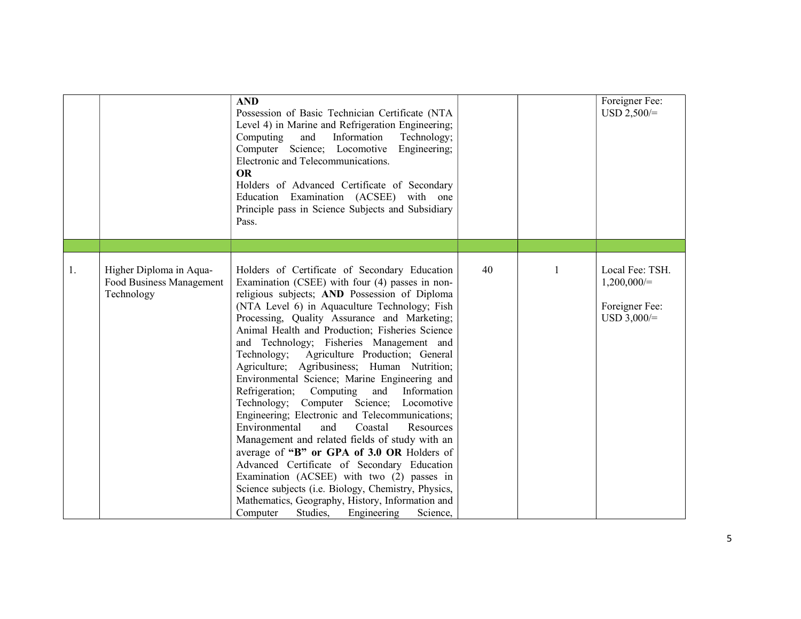|    |                                                                   | <b>AND</b><br>Possession of Basic Technician Certificate (NTA<br>Level 4) in Marine and Refrigeration Engineering;<br>Computing<br>Information<br>Technology;<br>and<br>Computer Science; Locomotive<br>Engineering;<br>Electronic and Telecommunications.<br><b>OR</b><br>Holders of Advanced Certificate of Secondary<br>Education Examination (ACSEE) with one<br>Principle pass in Science Subjects and Subsidiary<br>Pass.                                                                                                                                                                                                                                                                                                                                                                                                                                                                                                                                                                                                                                    |    |   | Foreigner Fee:<br>$USD 2,500/=$                                     |
|----|-------------------------------------------------------------------|--------------------------------------------------------------------------------------------------------------------------------------------------------------------------------------------------------------------------------------------------------------------------------------------------------------------------------------------------------------------------------------------------------------------------------------------------------------------------------------------------------------------------------------------------------------------------------------------------------------------------------------------------------------------------------------------------------------------------------------------------------------------------------------------------------------------------------------------------------------------------------------------------------------------------------------------------------------------------------------------------------------------------------------------------------------------|----|---|---------------------------------------------------------------------|
| 1. | Higher Diploma in Aqua-<br>Food Business Management<br>Technology | Holders of Certificate of Secondary Education<br>Examination (CSEE) with four (4) passes in non-<br>religious subjects; AND Possession of Diploma<br>(NTA Level 6) in Aquaculture Technology; Fish<br>Processing, Quality Assurance and Marketing;<br>Animal Health and Production; Fisheries Science<br>and Technology; Fisheries Management and<br>Technology; Agriculture Production; General<br>Agriculture; Agribusiness; Human Nutrition;<br>Environmental Science; Marine Engineering and<br>Refrigeration;<br>Information<br>Computing<br>and<br>Technology; Computer Science;<br>Locomotive<br>Engineering; Electronic and Telecommunications;<br>Environmental<br>and<br>Coastal<br>Resources<br>Management and related fields of study with an<br>average of "B" or GPA of 3.0 OR Holders of<br>Advanced Certificate of Secondary Education<br>Examination (ACSEE) with two (2) passes in<br>Science subjects (i.e. Biology, Chemistry, Physics,<br>Mathematics, Geography, History, Information and<br>Computer<br>Studies,<br>Engineering<br>Science, | 40 | 1 | Local Fee: TSH.<br>$1,200,000/=$<br>Foreigner Fee:<br>$USD 3,000/=$ |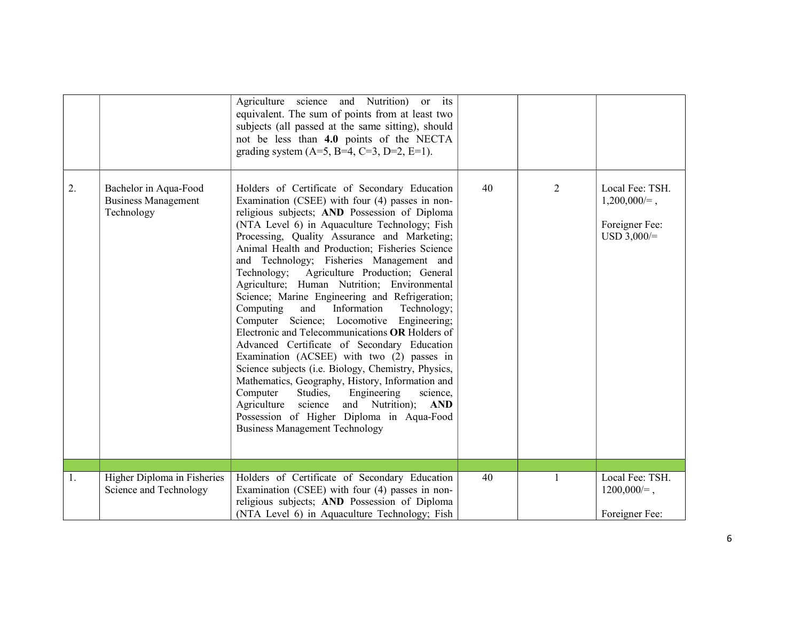|    |                                                                   | Agriculture science and Nutrition)<br>or its<br>equivalent. The sum of points from at least two<br>subjects (all passed at the same sitting), should<br>not be less than 4.0 points of the NECTA<br>grading system $(A=5, B=4, C=3, D=2, E=1)$ .                                                                                                                                                                                                                                                                                                                                                                                                                                                                                                                                                                                                                                                                                                                                                                                                |    |                |                                                                       |
|----|-------------------------------------------------------------------|-------------------------------------------------------------------------------------------------------------------------------------------------------------------------------------------------------------------------------------------------------------------------------------------------------------------------------------------------------------------------------------------------------------------------------------------------------------------------------------------------------------------------------------------------------------------------------------------------------------------------------------------------------------------------------------------------------------------------------------------------------------------------------------------------------------------------------------------------------------------------------------------------------------------------------------------------------------------------------------------------------------------------------------------------|----|----------------|-----------------------------------------------------------------------|
| 2. | Bachelor in Aqua-Food<br><b>Business Management</b><br>Technology | Holders of Certificate of Secondary Education<br>Examination (CSEE) with four (4) passes in non-<br>religious subjects; AND Possession of Diploma<br>(NTA Level 6) in Aquaculture Technology; Fish<br>Processing, Quality Assurance and Marketing;<br>Animal Health and Production; Fisheries Science<br>and Technology; Fisheries Management and<br>Technology; Agriculture Production; General<br>Agriculture; Human Nutrition; Environmental<br>Science; Marine Engineering and Refrigeration;<br>and<br>Information<br>Computing<br>Technology;<br>Computer Science; Locomotive Engineering;<br>Electronic and Telecommunications OR Holders of<br>Advanced Certificate of Secondary Education<br>Examination (ACSEE) with two (2) passes in<br>Science subjects (i.e. Biology, Chemistry, Physics,<br>Mathematics, Geography, History, Information and<br>Computer<br>Studies,<br>Engineering<br>science,<br>Agriculture science and Nutrition); AND<br>Possession of Higher Diploma in Aqua-Food<br><b>Business Management Technology</b> | 40 | $\overline{2}$ | Local Fee: TSH.<br>$1,200,000 =$ ,<br>Foreigner Fee:<br>$USD 3,000/=$ |
|    |                                                                   |                                                                                                                                                                                                                                                                                                                                                                                                                                                                                                                                                                                                                                                                                                                                                                                                                                                                                                                                                                                                                                                 |    |                |                                                                       |
| 1. | Higher Diploma in Fisheries<br>Science and Technology             | Holders of Certificate of Secondary Education<br>Examination (CSEE) with four (4) passes in non-<br>religious subjects; AND Possession of Diploma<br>(NTA Level 6) in Aquaculture Technology; Fish                                                                                                                                                                                                                                                                                                                                                                                                                                                                                                                                                                                                                                                                                                                                                                                                                                              | 40 |                | Local Fee: TSH.<br>$1200,000 =$ ,<br>Foreigner Fee:                   |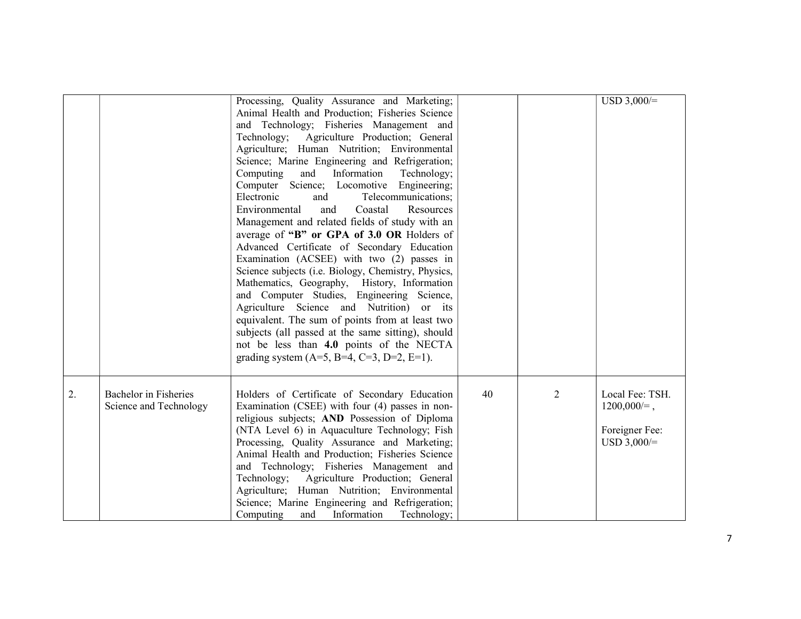|    |                                                 | Processing, Quality Assurance and Marketing;<br>Animal Health and Production; Fisheries Science<br>and Technology; Fisheries Management and<br>Agriculture Production; General<br>Technology;<br>Agriculture; Human Nutrition; Environmental<br>Science; Marine Engineering and Refrigeration;<br>Information<br>Computing<br>and<br>Technology;<br>Computer Science; Locomotive<br>Engineering;<br>Electronic<br>Telecommunications;<br>and<br>Environmental<br>Coastal<br>Resources<br>and<br>Management and related fields of study with an<br>average of "B" or GPA of 3.0 OR Holders of<br>Advanced Certificate of Secondary Education<br>Examination (ACSEE) with two (2) passes in<br>Science subjects (i.e. Biology, Chemistry, Physics,<br>Mathematics, Geography, History, Information<br>and Computer Studies, Engineering Science,<br>Agriculture Science and Nutrition) or its<br>equivalent. The sum of points from at least two<br>subjects (all passed at the same sitting), should<br>not be less than 4.0 points of the NECTA<br>grading system (A=5, B=4, C=3, D=2, E=1). |    |                | $USD 3,000/=$                                                        |
|----|-------------------------------------------------|----------------------------------------------------------------------------------------------------------------------------------------------------------------------------------------------------------------------------------------------------------------------------------------------------------------------------------------------------------------------------------------------------------------------------------------------------------------------------------------------------------------------------------------------------------------------------------------------------------------------------------------------------------------------------------------------------------------------------------------------------------------------------------------------------------------------------------------------------------------------------------------------------------------------------------------------------------------------------------------------------------------------------------------------------------------------------------------------|----|----------------|----------------------------------------------------------------------|
| 2. | Bachelor in Fisheries<br>Science and Technology | Holders of Certificate of Secondary Education<br>Examination (CSEE) with four (4) passes in non-<br>religious subjects; AND Possession of Diploma<br>(NTA Level 6) in Aquaculture Technology; Fish<br>Processing, Quality Assurance and Marketing;<br>Animal Health and Production; Fisheries Science<br>and Technology; Fisheries Management and<br>Technology; Agriculture Production; General<br>Agriculture; Human Nutrition; Environmental<br>Science; Marine Engineering and Refrigeration;<br>Computing<br>and<br>Information<br>Technology;                                                                                                                                                                                                                                                                                                                                                                                                                                                                                                                                          | 40 | $\overline{2}$ | Local Fee: TSH.<br>$1200,000 =$ ,<br>Foreigner Fee:<br>$USD 3,000/=$ |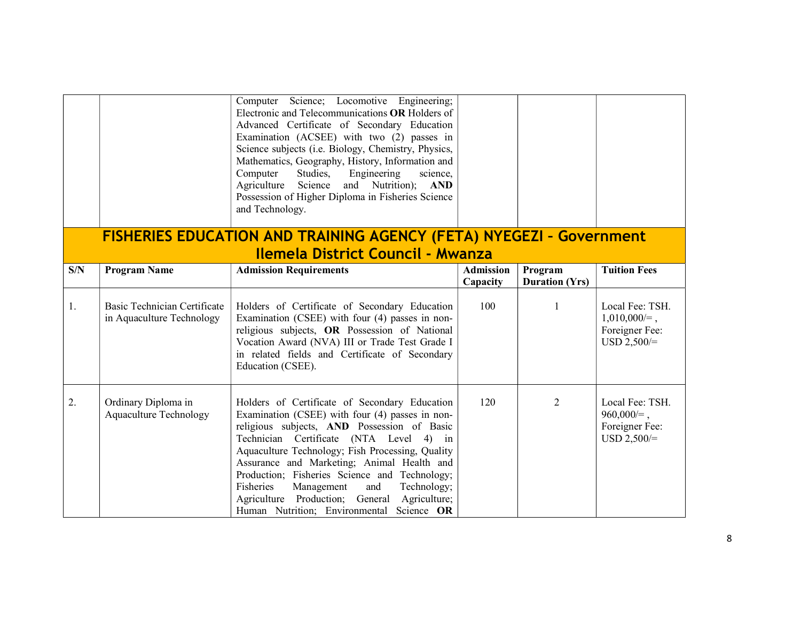|     |                                                                  | Computer Science; Locomotive Engineering;<br>Electronic and Telecommunications OR Holders of<br>Advanced Certificate of Secondary Education<br>Examination (ACSEE) with two (2) passes in<br>Science subjects (i.e. Biology, Chemistry, Physics,<br>Mathematics, Geography, History, Information and<br>Studies,<br>Engineering<br>Computer<br>science,                                                                                                                                     |                              |                                  |                                                                       |
|-----|------------------------------------------------------------------|---------------------------------------------------------------------------------------------------------------------------------------------------------------------------------------------------------------------------------------------------------------------------------------------------------------------------------------------------------------------------------------------------------------------------------------------------------------------------------------------|------------------------------|----------------------------------|-----------------------------------------------------------------------|
|     |                                                                  | Agriculture Science<br>and Nutrition); AND<br>Possession of Higher Diploma in Fisheries Science<br>and Technology.                                                                                                                                                                                                                                                                                                                                                                          |                              |                                  |                                                                       |
|     |                                                                  | <b>FISHERIES EDUCATION AND TRAINING AGENCY (FETA) NYEGEZI - Government</b>                                                                                                                                                                                                                                                                                                                                                                                                                  |                              |                                  |                                                                       |
|     |                                                                  | <b>Ilemela District Council - Mwanza</b>                                                                                                                                                                                                                                                                                                                                                                                                                                                    |                              |                                  |                                                                       |
| S/N | <b>Program Name</b>                                              | <b>Admission Requirements</b>                                                                                                                                                                                                                                                                                                                                                                                                                                                               | <b>Admission</b><br>Capacity | Program<br><b>Duration (Yrs)</b> | <b>Tuition Fees</b>                                                   |
| 1.  | <b>Basic Technician Certificate</b><br>in Aquaculture Technology | Holders of Certificate of Secondary Education<br>Examination (CSEE) with four (4) passes in non-<br>religious subjects, OR Possession of National<br>Vocation Award (NVA) III or Trade Test Grade I<br>in related fields and Certificate of Secondary<br>Education (CSEE).                                                                                                                                                                                                                  | 100                          | 1                                | Local Fee: TSH.<br>$1,010,000 =$ ,<br>Foreigner Fee:<br>$USD 2,500/=$ |
| 2.  | Ordinary Diploma in<br><b>Aquaculture Technology</b>             | Holders of Certificate of Secondary Education<br>Examination (CSEE) with four (4) passes in non-<br>religious subjects, AND Possession of Basic<br>Technician Certificate (NTA Level 4) in<br>Aquaculture Technology; Fish Processing, Quality<br>Assurance and Marketing; Animal Health and<br>Production; Fisheries Science and Technology;<br>Fisheries<br>Management<br>Technology;<br>and<br>Agriculture Production; General Agriculture;<br>Human Nutrition; Environmental Science OR | 120                          | $\overline{2}$                   | Local Fee: TSH.<br>$960,000 =$ ,<br>Foreigner Fee:<br>$USD 2,500/=$   |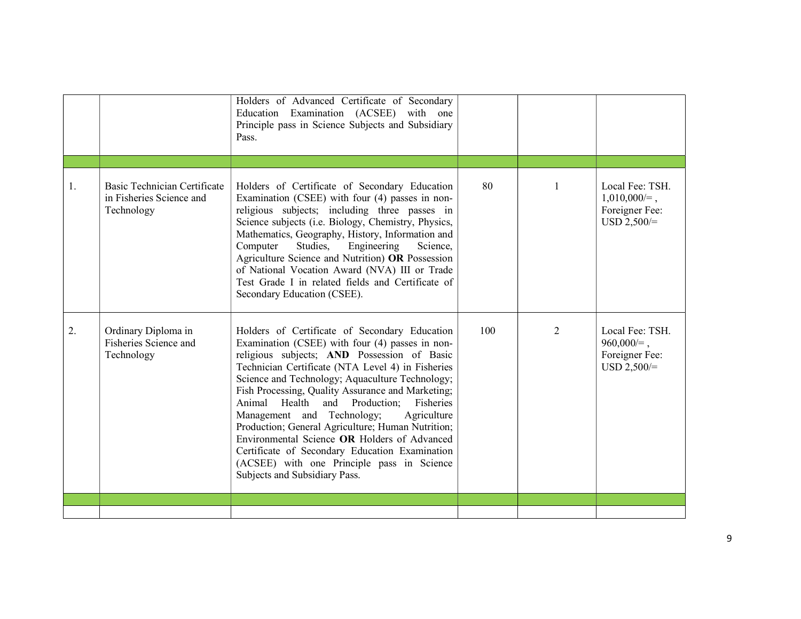|    |                                                                               | Holders of Advanced Certificate of Secondary<br>Education Examination (ACSEE) with one<br>Principle pass in Science Subjects and Subsidiary<br>Pass.                                                                                                                                                                                                                                                                                                                                                                                                                                                                                             |     |   |                                                                       |
|----|-------------------------------------------------------------------------------|--------------------------------------------------------------------------------------------------------------------------------------------------------------------------------------------------------------------------------------------------------------------------------------------------------------------------------------------------------------------------------------------------------------------------------------------------------------------------------------------------------------------------------------------------------------------------------------------------------------------------------------------------|-----|---|-----------------------------------------------------------------------|
|    |                                                                               |                                                                                                                                                                                                                                                                                                                                                                                                                                                                                                                                                                                                                                                  |     |   |                                                                       |
| 1. | <b>Basic Technician Certificate</b><br>in Fisheries Science and<br>Technology | Holders of Certificate of Secondary Education<br>Examination (CSEE) with four (4) passes in non-<br>religious subjects; including three passes in<br>Science subjects (i.e. Biology, Chemistry, Physics,<br>Mathematics, Geography, History, Information and<br>Engineering<br>Computer<br>Studies,<br>Science,<br>Agriculture Science and Nutrition) OR Possession<br>of National Vocation Award (NVA) III or Trade<br>Test Grade I in related fields and Certificate of<br>Secondary Education (CSEE).                                                                                                                                         | 80  | 1 | Local Fee: TSH.<br>$1,010,000 =$ ,<br>Foreigner Fee:<br>$USD 2,500/=$ |
| 2. | Ordinary Diploma in<br>Fisheries Science and<br>Technology                    | Holders of Certificate of Secondary Education<br>Examination (CSEE) with four (4) passes in non-<br>religious subjects; AND Possession of Basic<br>Technician Certificate (NTA Level 4) in Fisheries<br>Science and Technology; Aquaculture Technology;<br>Fish Processing, Quality Assurance and Marketing;<br>Animal<br>Health and Production;<br>Fisheries<br>Management and Technology;<br>Agriculture<br>Production; General Agriculture; Human Nutrition;<br>Environmental Science OR Holders of Advanced<br>Certificate of Secondary Education Examination<br>(ACSEE) with one Principle pass in Science<br>Subjects and Subsidiary Pass. | 100 | 2 | Local Fee: TSH.<br>$960,000 =$ ,<br>Foreigner Fee:<br>$USD 2,500/=$   |
|    |                                                                               |                                                                                                                                                                                                                                                                                                                                                                                                                                                                                                                                                                                                                                                  |     |   |                                                                       |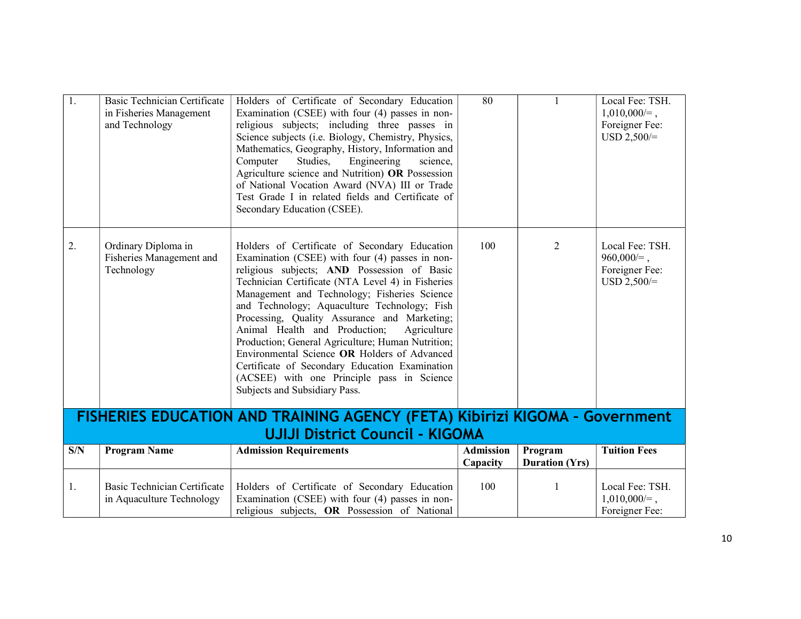| 1.  | Basic Technician Certificate<br>in Fisheries Management<br>and Technology | Holders of Certificate of Secondary Education<br>Examination (CSEE) with four (4) passes in non-<br>religious subjects; including three passes in<br>Science subjects (i.e. Biology, Chemistry, Physics,<br>Mathematics, Geography, History, Information and<br>Studies,<br>Engineering<br>Computer<br>science,<br>Agriculture science and Nutrition) OR Possession<br>of National Vocation Award (NVA) III or Trade<br>Test Grade I in related fields and Certificate of<br>Secondary Education (CSEE).                                                                                                                                   | 80                           |                                  | Local Fee: TSH.<br>$1,010,000 =$ ,<br>Foreigner Fee:<br>$USD 2,500/=$ |
|-----|---------------------------------------------------------------------------|--------------------------------------------------------------------------------------------------------------------------------------------------------------------------------------------------------------------------------------------------------------------------------------------------------------------------------------------------------------------------------------------------------------------------------------------------------------------------------------------------------------------------------------------------------------------------------------------------------------------------------------------|------------------------------|----------------------------------|-----------------------------------------------------------------------|
| 2.  | Ordinary Diploma in<br>Fisheries Management and<br>Technology             | Holders of Certificate of Secondary Education<br>Examination (CSEE) with four (4) passes in non-<br>religious subjects; AND Possession of Basic<br>Technician Certificate (NTA Level 4) in Fisheries<br>Management and Technology; Fisheries Science<br>and Technology; Aquaculture Technology; Fish<br>Processing, Quality Assurance and Marketing;<br>Animal Health and Production;<br>Agriculture<br>Production; General Agriculture; Human Nutrition;<br>Environmental Science OR Holders of Advanced<br>Certificate of Secondary Education Examination<br>(ACSEE) with one Principle pass in Science<br>Subjects and Subsidiary Pass. | 100                          | 2                                | Local Fee: TSH.<br>$960,000 =$ ,<br>Foreigner Fee:<br>$USD 2,500/=$   |
|     |                                                                           | FISHERIES EDUCATION AND TRAINING AGENCY (FETA) Kibirizi KIGOMA - Government                                                                                                                                                                                                                                                                                                                                                                                                                                                                                                                                                                |                              |                                  |                                                                       |
|     |                                                                           | <b>UJIJI District Council - KIGOMA</b>                                                                                                                                                                                                                                                                                                                                                                                                                                                                                                                                                                                                     |                              |                                  |                                                                       |
| S/N | <b>Program Name</b>                                                       | <b>Admission Requirements</b>                                                                                                                                                                                                                                                                                                                                                                                                                                                                                                                                                                                                              | <b>Admission</b><br>Capacity | Program<br><b>Duration (Yrs)</b> | <b>Tuition Fees</b>                                                   |
| 1.  | <b>Basic Technician Certificate</b><br>in Aquaculture Technology          | Holders of Certificate of Secondary Education<br>Examination (CSEE) with four (4) passes in non-<br>religious subjects, OR Possession of National                                                                                                                                                                                                                                                                                                                                                                                                                                                                                          | 100                          | 1                                | Local Fee: TSH.<br>$1,010,000 =$ ,<br>Foreigner Fee:                  |